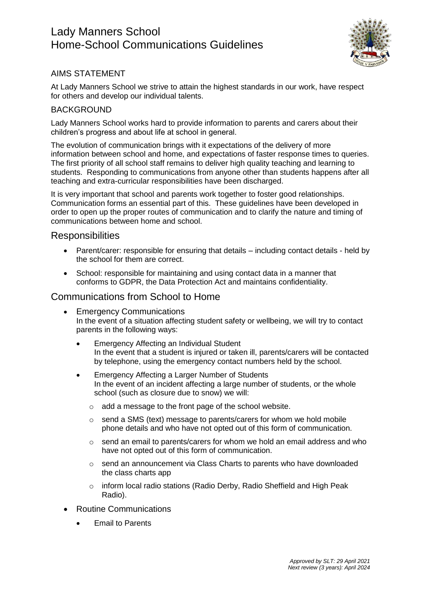# Lady Manners School Home-School Communications Guidelines



### AIMS STATEMENT

At Lady Manners School we strive to attain the highest standards in our work, have respect for others and develop our individual talents.

#### **BACKGROUND**

Lady Manners School works hard to provide information to parents and carers about their children's progress and about life at school in general.

The evolution of communication brings with it expectations of the delivery of more information between school and home, and expectations of faster response times to queries. The first priority of all school staff remains to deliver high quality teaching and learning to students. Responding to communications from anyone other than students happens after all teaching and extra-curricular responsibilities have been discharged.

It is very important that school and parents work together to foster good relationships. Communication forms an essential part of this. These guidelines have been developed in order to open up the proper routes of communication and to clarify the nature and timing of communications between home and school.

#### **Responsibilities**

- Parent/carer: responsible for ensuring that details including contact details held by the school for them are correct.
- School: responsible for maintaining and using contact data in a manner that conforms to GDPR, the Data Protection Act and maintains confidentiality.

#### Communications from School to Home

- Emergency Communications In the event of a situation affecting student safety or wellbeing, we will try to contact parents in the following ways:
	- Emergency Affecting an Individual Student In the event that a student is injured or taken ill, parents/carers will be contacted by telephone, using the emergency contact numbers held by the school.
	- Emergency Affecting a Larger Number of Students In the event of an incident affecting a large number of students, or the whole school (such as closure due to snow) we will:
		- o add a message to the front page of the school website.
		- $\circ$  send a SMS (text) message to parents/carers for whom we hold mobile phone details and who have not opted out of this form of communication.
		- $\circ$  send an email to parents/carers for whom we hold an email address and who have not opted out of this form of communication.
		- o send an announcement via Class Charts to parents who have downloaded the class charts app
		- o inform local radio stations (Radio Derby, Radio Sheffield and High Peak Radio).
- Routine Communications
	- **•** Email to Parents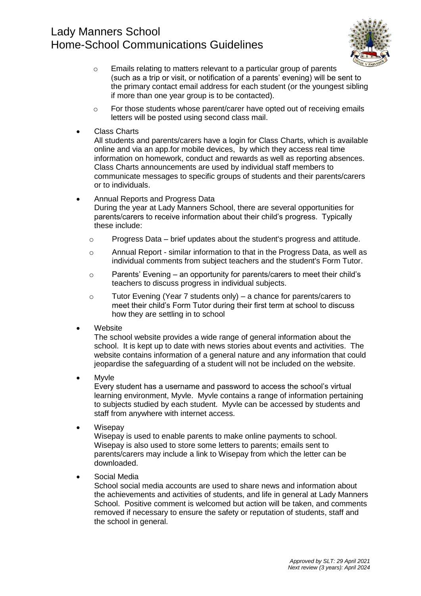# Lady Manners School Home-School Communications Guidelines



- o Emails relating to matters relevant to a particular group of parents (such as a trip or visit, or notification of a parents' evening) will be sent to the primary contact email address for each student (or the youngest sibling if more than one year group is to be contacted).
- $\circ$  For those students whose parent/carer have opted out of receiving emails letters will be posted using second class mail.
- Class Charts

All students and parents/carers have a login for Class Charts, which is available online and via an app.for mobile devices, by which they access real time information on homework, conduct and rewards as well as reporting absences. Class Charts announcements are used by individual staff members to communicate messages to specific groups of students and their parents/carers or to individuals.

- Annual Reports and Progress Data During the year at Lady Manners School, there are several opportunities for parents/carers to receive information about their child's progress. Typically these include:
	- $\circ$  Progress Data brief updates about the student's progress and attitude.
	- o Annual Report similar information to that in the Progress Data, as well as individual comments from subject teachers and the student's Form Tutor.
	- $\circ$  Parents' Evening an opportunity for parents/carers to meet their child's teachers to discuss progress in individual subjects.
	- o Tutor Evening (Year 7 students only) a chance for parents/carers to meet their child's Form Tutor during their first term at school to discuss how they are settling in to school
- **Website**

The school website provides a wide range of general information about the school. It is kept up to date with news stories about events and activities. The website contains information of a general nature and any information that could jeopardise the safeguarding of a student will not be included on the website.

Myvle

Every student has a username and password to access the school's virtual learning environment, Myvle. Myvle contains a range of information pertaining to subjects studied by each student. Myvle can be accessed by students and staff from anywhere with internet access.

**Wisepay** 

Wisepay is used to enable parents to make online payments to school. Wisepay is also used to store some letters to parents; emails sent to parents/carers may include a link to Wisepay from which the letter can be downloaded.

Social Media

School social media accounts are used to share news and information about the achievements and activities of students, and life in general at Lady Manners School. Positive comment is welcomed but action will be taken, and comments removed if necessary to ensure the safety or reputation of students, staff and the school in general.